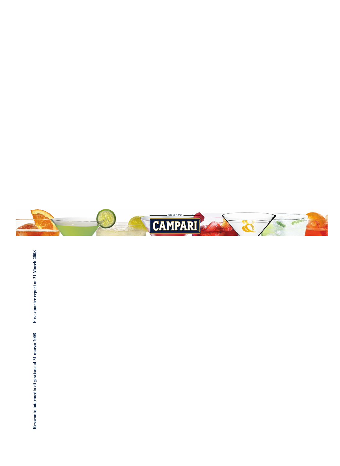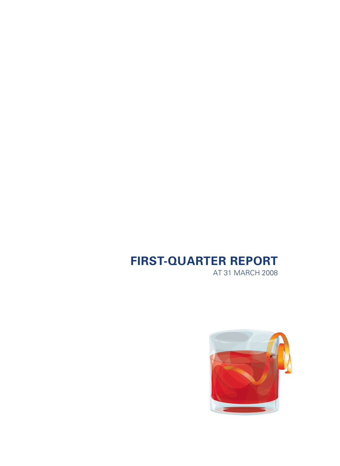# **FIRST-QUARTER REPORT**

AT 31 MARCH 2008

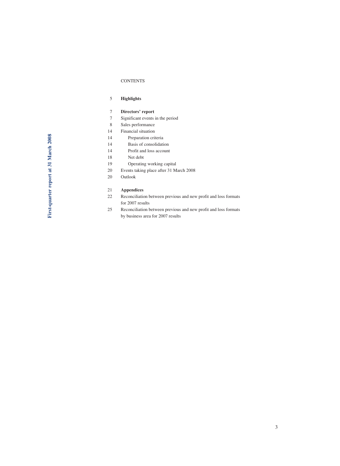#### **CONTENTS**

- 5 **Highlights**
- 7 **Directors' report**
- 7 Significant events in the period
- 8 Sales performance
- 14 Financial situation
- 14 Preparation criteria
- 14 Basis of consolidation
- 14 Profit and loss account
- 18 Net debt
- 19 Operating working capital
- 20 Events taking place after 31 March 2008
- 20 Outlook

### 21 **Appendices**

- 22 Reconciliation between previous and new profit and loss formats for 2007 results
- 25 Reconciliation between previous and new profit and loss formats by business area for 2007 results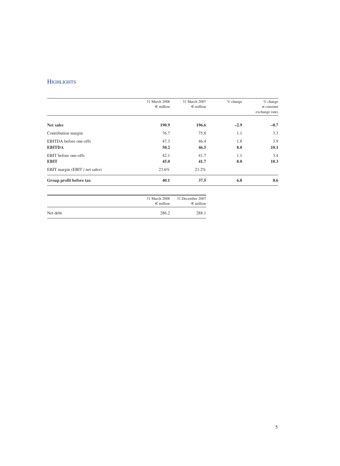# **HIGHLIGHTS**

| Group profit before tax        | 40.1               | 37.5               | 6.8        | 8.6                           |
|--------------------------------|--------------------|--------------------|------------|-------------------------------|
| EBIT margin (EBIT / net sales) | 23.6%              | 21.2%              |            |                               |
| <b>EBIT</b>                    | 45.0               | 41.7               | 8.0        | 10.3                          |
| <b>EBIT</b> before one-offs    | 42.1               | 41.7               | 1.1        | 3.4                           |
| <b>EBITDA</b>                  | 50.2               | 46.5               | 8.0        | 10.1                          |
| <b>EBITDA</b> before one-offs  | 47.3               | 46.4               | 1.8        | 3.9                           |
| Contribution margin            | 76.7               | 75.8               | 1.1        | 3.3                           |
| Net sales                      | 190.9              | 196.6              | $-2.9$     | $-0.7$                        |
|                                | $\epsilon$ million | $\epsilon$ million |            | at constant<br>exchange rates |
|                                | 31 March 2008      | 31 March 2007      | $%$ change | $%$ change                    |

|          | 31 March 2008<br>$\epsilon$ million | 31 December 2007<br>$\epsilon$ million |
|----------|-------------------------------------|----------------------------------------|
| Net debt | 286.2                               | 288.1                                  |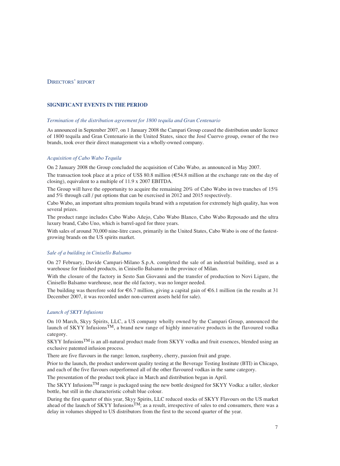# DIRECTORS' REPORT

# **SIGNIFICANT EVENTS IN THE PERIOD**

#### *Termination of the distribution agreement for 1800 tequila and Gran Centenario*

As announced in September 2007, on 1 January 2008 the Campari Group ceased the distribution under licence of 1800 tequila and Gran Centenario in the United States, since the José Cuervo group, owner of the two brands, took over their direct management via a wholly-owned company.

## *Acquisition of Cabo Wabo Tequila*

On 2 January 2008 the Group concluded the acquisition of Cabo Wabo*,* as announced in May 2007.

The transaction took place at a price of US\$ 80.8 million  $(\epsilon 54.8$  million at the exchange rate on the day of closing), equivalent to a multiple of 11.9 x 2007 EBITDA.

The Group will have the opportunity to acquire the remaining 20% of Cabo Wabo in two tranches of 15% and 5% through call / put options that can be exercised in 2012 and 2015 respectively.

Cabo Wabo, an important ultra premium tequila brand with a reputation for extremely high quality, has won several prizes.

The product range includes Cabo Wabo Añejo, Cabo Wabo Blanco, Cabo Wabo Reposado and the ultra luxury brand, Cabo Uno, which is barrel-aged for three years.

With sales of around 70,000 nine-litre cases, primarily in the United States, Cabo Wabo is one of the fastestgrowing brands on the US spirits market.

# *Sale of a building in Cinisello Balsamo*

On 27 February, Davide Campari-Milano S.p.A. completed the sale of an industrial building, used as a warehouse for finished products, in Cinisello Balsamo in the province of Milan.

With the closure of the factory in Sesto San Giovanni and the transfer of production to Novi Ligure, the Cinisello Balsamo warehouse, near the old factory, was no longer needed.

The building was therefore sold for  $\epsilon$ 6.7 million, giving a capital gain of  $\epsilon$ 6.1 million (in the results at 31 December 2007, it was recorded under non-current assets held for sale).

# *Launch of SKYY Infusions*

On 10 March, Skyy Spirits, LLC, a US company wholly owned by the Campari Group, announced the launch of SKYY Infusions<sup>TM</sup>, a brand new range of highly innovative products in the flavoured vodka category.

SKYY InfusionsTM is an all-natural product made from SKYY vodka and fruit essences, blended using an exclusive patented infusion process.

There are five flavours in the range: lemon, raspberry, cherry, passion fruit and grape.

Prior to the launch, the product underwent quality testing at the Beverage Testing Institute (BTI) in Chicago, and each of the five flavours outperformed all of the other flavoured vodkas in the same category.

The presentation of the product took place in March and distribution began in April.

The SKYY Infusions<sup>TM</sup> range is packaged using the new bottle designed for SKYY Vodka: a taller, sleeker bottle, but still in the characteristic cobalt blue colour.

During the first quarter of this year, Skyy Spirits, LLC reduced stocks of SKYY Flavours on the US market ahead of the launch of SKYY Infusions<sup>TM</sup>; as a result, irrespective of sales to end consumers, there was a delay in volumes shipped to US distributors from the first to the second quarter of the year.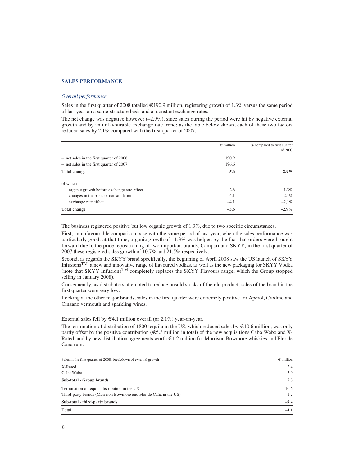# **SALES PERFORMANCE**

#### *Overall performance*

Sales in the first quarter of 2008 totalled  $\in$ 190.9 million, registering growth of 1.3% versus the same period of last year on a same-structure basis and at constant exchange rates.

The net change was negative however  $(-2.9\%)$ , since sales during the period were hit by negative external growth and by an unfavourable exchange rate trend; as the table below shows, each of these two factors reduced sales by 2.1% compared with the first quarter of 2007.

|                                            | $\epsilon$ million | % compared to first quarter<br>of 2007 |
|--------------------------------------------|--------------------|----------------------------------------|
| $-$ net sales in the first quarter of 2008 | 190.9              |                                        |
| $-$ net sales in the first quarter of 2007 | 196.6              |                                        |
| <b>Total change</b>                        | $-5.6$             | $-2.9\%$                               |
| of which                                   |                    |                                        |
| organic growth before exchange rate effect | 2.6                | $1.3\%$                                |
| changes in the basis of consolidation      | $-4.1$             | $-2.1\%$                               |
| exchange rate effect                       | $-4.1$             | $-2.1\%$                               |
| <b>Total change</b>                        | $-5.6$             | $-2.9\%$                               |

The business registered positive but low organic growth of 1.3%, due to two specific circumstances.

First, an unfavourable comparison base with the same period of last year, when the sales performance was particularly good: at that time, organic growth of 11.3% was helped by the fact that orders were brought forward due to the price repositioning of two important brands, Campari and SKYY; in the first quarter of 2007 these registered sales growth of 10.7% and 21.5% respectively.

Second, as regards the SKYY brand specifically, the beginning of April 2008 saw the US launch of SKYY InfusionsTM, a new and innovative range of flavoured vodkas, as well as the new packaging for SKYY Vodka (note that SKYY InfusionsTM completely replaces the SKYY Flavours range, which the Group stopped selling in January 2008).

Consequently, as distributors attempted to reduce unsold stocks of the old product, sales of the brand in the first quarter were very low.

Looking at the other major brands, sales in the first quarter were extremely positive for Aperol, Crodino and Cinzano vermouth and sparkling wines.

External sales fell by  $\in 4.1$  million overall (or 2.1%) year-on-year.

The termination of distribution of 1800 tequila in the US, which reduced sales by  $\epsilon$ 10.6 million, was only partly offset by the positive contribution ( $\epsilon$ 5.3 million in total) of the new acquisitions Cabo Wabo and X-Rated, and by new distribution agreements worth  $\epsilon$ 1.2 million for Morrison Bowmore whiskies and Flor de Caña rum.

| Sales in the first quarter of 2008: breakdown of external growth | $\epsilon$ million |
|------------------------------------------------------------------|--------------------|
| X-Rated                                                          | 2.4                |
| Cabo Wabo                                                        | 3.0                |
| Sub-total - Group brands                                         | 5.3                |
| Termination of tequila distribution in the US                    | $-10.6$            |
| Third-party brands (Morrison Bowmore and Flor de Caña in the US) | 1.2                |
| Sub-total - third-party brands                                   | $-9.4$             |
| <b>Total</b>                                                     | $-4.1$             |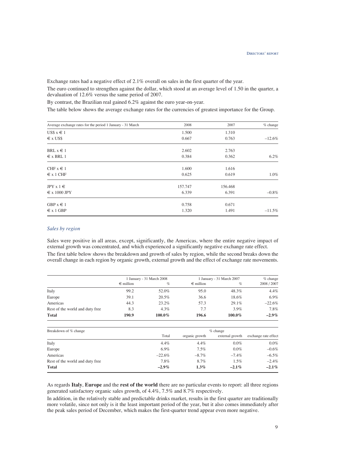Exchange rates had a negative effect of 2.1% overall on sales in the first quarter of the year.

The euro continued to strengthen against the dollar, which stood at an average level of 1.50 in the quarter, a devaluation of 12.6% versus the same period of 2007.

By contrast, the Brazilian real gained 6.2% against the euro year-on-year.

The table below shows the average exchange rates for the currencies of greatest importance for the Group.

| Average exchange rates for the period 1 January - 31 March | 2008    | 2007    | $%$ change |
|------------------------------------------------------------|---------|---------|------------|
| US\$ $x \in 1$                                             | 1.500   | 1.310   |            |
| $\epsilon$ x US\$                                          | 0.667   | 0.763   | $-12.6%$   |
| BRL $x \in 1$                                              | 2.602   | 2.763   |            |
| $\epsilon$ x BRL 1                                         | 0.384   | 0.362   | 6.2%       |
| CHF $x \in 1$                                              | 1.600   | 1.616   |            |
| $\epsilon$ x 1 CHF                                         | 0.625   | 0.619   | 1.0%       |
| $JPY \times 1 \in$                                         | 157.747 | 156.468 |            |
| $\epsilon$ x 1000 JPY                                      | 6.339   | 6.391   | $-0.8%$    |
| GBP $x \in 1$                                              | 0.758   | 0.671   |            |
| $\epsilon$ x 1 GBP                                         | 1.320   | 1.491   | $-11.5%$   |

# *Sales by region*

Sales were positive in all areas, except, significantly, the Americas, where the entire negative impact of external growth was concentrated, and which experienced a significantly negative exchange rate effect.

The first table below shows the breakdown and growth of sales by region, while the second breaks down the overall change in each region by organic growth, external growth and the effect of exchange rate movements.

|                                 |                    | 1 January - 31 March 2008 |                    | 1 January - 31 March 2007 | $%$ change           |
|---------------------------------|--------------------|---------------------------|--------------------|---------------------------|----------------------|
|                                 | $\epsilon$ million | $\%$                      | $\epsilon$ million | $\%$                      | 2008 / 2007          |
| Italy                           | 99.2               | 52.0%                     | 95.0               | 48.3%                     | $4.4\%$              |
| Europe                          | 39.1               | 20.5%                     | 36.6               | 18.6%                     | 6.9%                 |
| Americas                        | 44.3               | 23.2%                     | 57.3               | 29.1%                     | $-22.6%$             |
| Rest of the world and duty free | 8.3                | $4.3\%$                   | 7.7                | $3.9\%$                   | 7.8%                 |
| <b>Total</b>                    | 190.9              | 100.0%                    | 196.6              | 100.0%                    | $-2.9\%$             |
| Breakdown of % change           |                    |                           |                    | $%$ change                |                      |
|                                 |                    | Total                     | organic growth     | external growth           | exchange rate effect |
| Italy                           |                    | $4.4\%$                   | 4.4%               | $0.0\%$                   | $0.0\%$              |
| Europe                          |                    | 6.9%                      | $7.5\%$            | $0.0\%$                   | $-0.6%$              |
| Americas                        |                    | $-22.6\%$                 | $-8.7\%$           | $-7.4\%$                  | $-6.5\%$             |
| Rest of the world and duty free |                    | 7.8%                      | 8.7%               | $1.5\%$                   | $-2.4%$              |

As regards **Italy**, **Europe** and the **rest of the world** there are no particular events to report: all three regions generated satisfactory organic sales growth, of 4.4%, 7.5% and 8.7% respectively.

**Total –2.9% 1.3% –2.1% –2.1%**

In addition, in the relatively stable and predictable drinks market, results in the first quarter are traditionally more volatile, since not only is it the least important period of the year, but it also comes immediately after the peak sales period of December, which makes the first-quarter trend appear even more negative.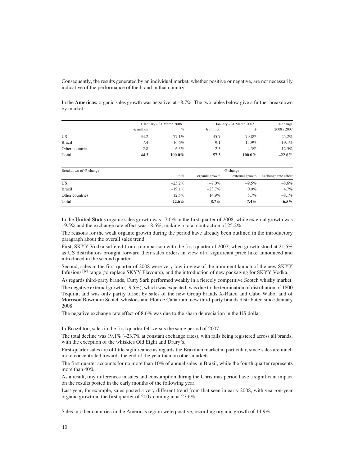Consequently, the results generated by an individual market, whether positive or negative, are not necessarily indicative of the performance of the brand in that country.

In the **Americas,** organic sales growth was negative, at –8.7%. The two tables below give a further breakdown by market.

| 1 January - 31 March 2008 |          |                    | $%$ change |                           |
|---------------------------|----------|--------------------|------------|---------------------------|
| $\epsilon$ million        | $\%$     | $\epsilon$ million | $\%$       | 2008 / 2007               |
| 34.2                      | 77.1%    | 45.7               | 79.8%      | $-25.2%$                  |
| 7.4                       | $16.6\%$ | 9.1                | 15.9%      | $-19.1%$                  |
| 2.8                       | 6.3%     | 2.5                | $4.3\%$    | 12.5%                     |
| 44.3                      | 100.0%   | 57.3               | 100.0%     | $-22.6\%$                 |
|                           |          |                    |            | 1 January - 31 March 2007 |

| Breakdown of % change | $%$ change |                |                 |                      |  |  |  |
|-----------------------|------------|----------------|-----------------|----------------------|--|--|--|
|                       | total      | organic growth | external growth | exchange rate effect |  |  |  |
| US                    | $-25.2\%$  | $-7.0\%$       | $-9.5\%$        | $-8.6\%$             |  |  |  |
| <b>Brazil</b>         | $-19.1\%$  | $-23.7\%$      | $0.0\%$         | 4.7%                 |  |  |  |
| Other countries       | 12.5%      | 14.9%          | 5.7%            | $-8.1\%$             |  |  |  |
| <b>Total</b>          | $-22.6\%$  | $-8.7\%$       | $-7.4\%$        | $-6.5\%$             |  |  |  |

In the **United States** organic sales growth was –7.0% in the first quarter of 2008, while external growth was  $-9.5\%$  and the exchange rate effect was  $-8.6\%$ , making a total contraction of 25.2%.

The reasons for the weak organic growth during the period have already been outlined in the introductory paragraph about the overall sales trend.

First, SKYY Vodka suffered from a comparison with the first quarter of 2007, when growth stood at 21.5% as US distributors brought forward their sales orders in view of a significant price hike announced and introduced in the second quarter.

Second, sales in the first quarter of 2008 were very low in view of the imminent launch of the new SKYY InfusionsTM range (to replace SKYY Flavours), and the introduction of new packaging for SKYY Vodka.

As regards third-party brands, Cutty Sark performed weakly in a fiercely competitive Scotch whisky market.

The negative external growth  $(-9.5\%)$ , which was expected, was due to the termination of distribution of 1800 Tequila, and was only partly offset by sales of the new Group brands X-Rated and Cabo Wabo, and of Morrison Bowmore Scotch whiskies and Flor de Caña rum, new third-party brands distributed since January 2008.

The negative exchange rate effect of 8.6% was due to the sharp depreciation in the US dollar.

In **Brazil** too, sales in the first quarter fell versus the same period of 2007.

The total decline was 19.1% (–23.7% at constant exchange rates), with falls being registered across all brands, with the exception of the whiskies Old Eight and Drury's.

First-quarter sales are of little significance as regards the Brazilian market in particular, since sales are much more concentrated towards the end of the year than on other markets.

The first quarter accounts for no more than 10% of annual sales in Brazil, while the fourth quarter represents more than 40%.

As a result, tiny differences in sales and consumption during the Christmas period have a significant impact on the results posted in the early months of the following year.

Last year, for example, sales posted a very different trend from that seen in early 2008, with year-on-year organic growth in the first quarter of 2007 coming in at 27.6%.

Sales in other countries in the Americas region were positive, recording organic growth of 14.9%.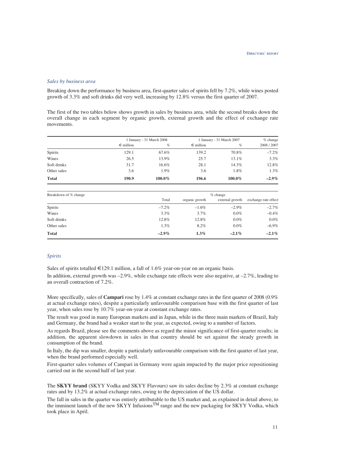#### *Sales by business area*

Breaking down the performance by business area, first-quarter sales of spirits fell by 7.2%, while wines posted growth of 3.3% and soft drinks did very well, increasing by 12.8% versus the first quarter of 2007.

The first of the two tables below shows growth in sales by business area, while the second breaks down the overall change in each segment by organic growth, external growth and the effect of exchange rate movements.

|                |                    | 1 January - 31 March 2008 |                    | 1 January - 31 March 2007 |             |  |
|----------------|--------------------|---------------------------|--------------------|---------------------------|-------------|--|
|                | $\epsilon$ million | $\%$                      | $\epsilon$ million | $\%$                      | 2008 / 2007 |  |
| <b>Spirits</b> | 129.1              | 67.6%                     | 139.2              | 70.8%                     | $-7.2\%$    |  |
| Wines          | 26.5               | 13.9%                     | 25.7               | 13.1%                     | 3.3%        |  |
| Soft drinks    | 31.7               | 16.6%                     | 28.1               | 14.3%                     | 12.8%       |  |
| Other sales    | 3.6                | $1.9\%$                   | 3.6                | $1.8\%$                   | 1.3%        |  |
| <b>Total</b>   | 190.9              | 100.0%                    | 196.6              | 100.0%                    | $-2.9\%$    |  |

| Breakdown of % change | $%$ change |                |                 |                      |  |  |  |
|-----------------------|------------|----------------|-----------------|----------------------|--|--|--|
|                       | Total      | organic growth | external growth | exchange rate effect |  |  |  |
| <b>Spirits</b>        | $-7.2\%$   | $-1.6\%$       | $-2.9\%$        | $-2.7%$              |  |  |  |
| Wines                 | $3.3\%$    | $3.7\%$        | $0.0\%$         | $-0.4\%$             |  |  |  |
| Soft drinks           | 12.8%      | 12.8%          | $0.0\%$         | $0.0\%$              |  |  |  |
| Other sales           | $1.3\%$    | 8.2%           | $0.0\%$         | $-6.9\%$             |  |  |  |
| <b>Total</b>          | $-2.9\%$   | $1.3\%$        | $-2.1\%$        | $-2.1\%$             |  |  |  |

# *Spirits*

Sales of spirits totalled  $\in$ 129.1 million, a fall of 1.6% year-on-year on an organic basis.

In addition, external growth was  $-2.9\%$ , while exchange rate effects were also negative, at  $-2.7\%$ , leading to an overall contraction of 7.2%.

More specifically, sales of **Campari** rose by 1.4% at constant exchange rates in the first quarter of 2008 (0.9% at actual exchange rates), despite a particularly unfavourable comparison base with the first quarter of last year, when sales rose by 10.7% year-on-year at constant exchange rates.

The result was good in many European markets and in Japan, while in the three main markets of Brazil, Italy and Germany, the brand had a weaker start to the year, as expected, owing to a number of factors.

As regards Brazil, please see the comments above as regard the minor significance of first-quarter results; in addition, the apparent slowdown in sales in that country should be set against the steady growth in consumption of the brand.

In Italy, the dip was smaller, despite a particularly unfavourable comparison with the first quarter of last year, when the brand performed especially well.

First-quarter sales volumes of Campari in Germany were again impacted by the major price repositioning carried out in the second half of last year.

The **SKYY brand** (SKYY Vodka and SKYY Flavours) saw its sales decline by 2.3% at constant exchange rates and by 13.2% at actual exchange rates, owing to the depreciation of the US dollar.

The fall in sales in the quarter was entirely attributable to the US market and, as explained in detail above, to the imminent launch of the new SKYY InfusionsTM range and the new packaging for SKYY Vodka, which took place in April.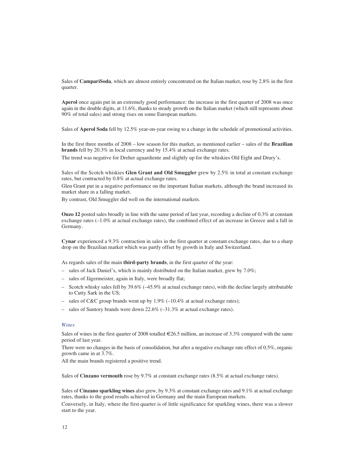Sales of **CampariSoda**, which are almost entirely concentrated on the Italian market, rose by 2.8% in the first quarter.

**Aperol** once again put in an extremely good performance: the increase in the first quarter of 2008 was once again in the double digits, at 11.6%, thanks to steady growth on the Italian market (which still represents about 90% of total sales) and strong rises on some European markets.

Sales of **Aperol Soda** fell by 12.5% year-on-year owing to a change in the schedule of promotional activities.

In the first three months of 2008 – low season for this market, as mentioned earlier – sales of the **Brazilian brands** fell by 20.3% in local currency and by 15.4% at actual exchange rates.

The trend was negative for Dreher aguardiente and slightly up for the whiskies Old Eight and Drury's.

Sales of the Scotch whiskies **Glen Grant and Old Smuggler** grew by 2.5% in total at constant exchange rates, but contracted by 0.8% at actual exchange rates.

Glen Grant put in a negative performance on the important Italian markets, although the brand increased its market share in a falling market.

By contrast, Old Smuggler did well on the international markets.

**Ouzo 12** posted sales broadly in line with the same period of last year, recording a decline of 0.3% at constant exchange rates (–1.0% at actual exchange rates), the combined effect of an increase in Greece and a fall in Germany.

**Cynar** experienced a 9.3% contraction in sales in the first quarter at constant exchange rates, due to a sharp drop on the Brazilian market which was partly offset by growth in Italy and Switzerland.

As regards sales of the main **third-party brands**, in the first quarter of the year:

- sales of Jack Daniel's, which is mainly distributed on the Italian market, grew by 7.0%;
- sales of Jägermeister, again in Italy, were broadly flat;
- Scotch whisky sales fell by 39.6% (–45.9% at actual exchange rates), with the decline largely attributable to Cutty Sark in the US;
- sales of C&C group brands went up by 1.9% (–10.4% at actual exchange rates);
- sales of Suntory brands were down 22.6% (–31.3% at actual exchange rates).

#### *Wines*

Sales of wines in the first quarter of 2008 totalled  $\in 26.5$  million, an increase of 3.3% compared with the same period of last year.

There were no changes in the basis of consolidation, but after a negative exchange rate effect of 0.5%, organic growth came in at 3.7%.

All the main brands registered a positive trend.

Sales of **Cinzano vermouth** rose by 9.7% at constant exchange rates (8.5% at actual exchange rates).

Sales of **Cinzano sparkling wines** also grew, by 9.3% at constant exchange rates and 9.1% at actual exchange rates, thanks to the good results achieved in Germany and the main European markets.

Conversely, in Italy, where the first quarter is of little significance for sparkling wines, there was a slower start to the year.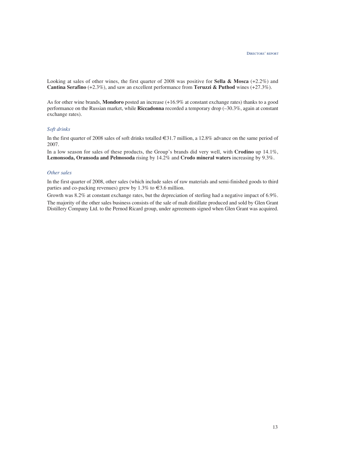Looking at sales of other wines, the first quarter of 2008 was positive for **Sella & Mosca** (+2.2%) and **Cantina Serafino** (+2.3%), and saw an excellent performance from **Teruzzi & Puthod** wines (+27.3%).

As for other wine brands, **Mondoro** posted an increase (+16.9% at constant exchange rates) thanks to a good performance on the Russian market, while **Riccadonna** recorded a temporary drop (–30.3%, again at constant exchange rates).

# *Soft drinks*

In the first quarter of 2008 sales of soft drinks totalled €31.7 million, a 12.8% advance on the same period of 2007.

In a low season for sales of these products, the Group's brands did very well, with **Crodino** up 14.1%, **Lemonsoda, Oransoda and Pelmosoda** rising by 14.2% and **Crodo mineral waters** increasing by 9.3%.

#### *Other sales*

In the first quarter of 2008, other sales (which include sales of raw materials and semi-finished goods to third parties and co-packing revenues) grew by 1.3% to  $\in$ 3.6 million.

Growth was 8.2% at constant exchange rates, but the depreciation of sterling had a negative impact of 6.9%. The majority of the other sales business consists of the sale of malt distillate produced and sold by Glen Grant Distillery Company Ltd. to the Pernod Ricard group, under agreements signed when Glen Grant was acquired.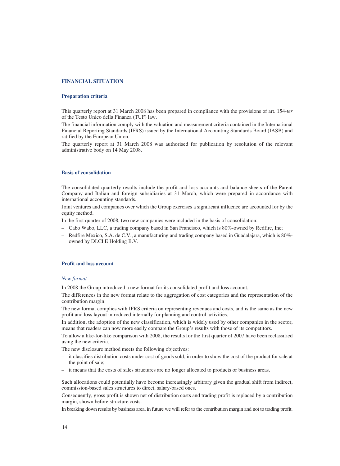# **FINANCIAL SITUATION**

#### **Preparation criteria**

This quarterly report at 31 March 2008 has been prepared in compliance with the provisions of art. 154-*ter* of the Testo Unico della Finanza (TUF) law.

The financial information comply with the valuation and measurement criteria contained in the International Financial Reporting Standards (IFRS) issued by the International Accounting Standards Board (IASB) and ratified by the European Union.

The quarterly report at 31 March 2008 was authorised for publication by resolution of the relevant administrative body on 14 May 2008.

#### **Basis of consolidation**

The consolidated quarterly results include the profit and loss accounts and balance sheets of the Parent Company and Italian and foreign subsidiaries at 31 March, which were prepared in accordance with international accounting standards.

Joint ventures and companies over which the Group exercises a significant influence are accounted for by the equity method.

In the first quarter of 2008, two new companies were included in the basis of consolidation:

- Cabo Wabo, LLC, a trading company based in San Francisco, which is 80%-owned by Redfire, Inc;
- Redfire Mexico, S.A. de C.V., a manufacturing and trading company based in Guadalajara, which is 80% owned by DI.CI.E Holding B.V.

#### **Profit and loss account**

#### *New format*

In 2008 the Group introduced a new format for its consolidated profit and loss account.

The differences in the new format relate to the aggregation of cost categories and the representation of the contribution margin.

The new format complies with IFRS criteria on representing revenues and costs, and is the same as the new profit and loss layout introduced internally for planning and control activities.

In addition, the adoption of the new classification, which is widely used by other companies in the sector, means that readers can now more easily compare the Group's results with those of its competitors.

To allow a like-for-like comparison with 2008, the results for the first quarter of 2007 have been reclassified using the new criteria.

The new disclosure method meets the following objectives:

- it classifies distribution costs under cost of goods sold, in order to show the cost of the product for sale at the point of sale;
- it means that the costs of sales structures are no longer allocated to products or business areas.

Such allocations could potentially have become increasingly arbitrary given the gradual shift from indirect, commission-based sales structures to direct, salary-based ones.

Consequently, gross profit is shown net of distribution costs and trading profit is replaced by a contribution margin, shown before structure costs.

In breaking down results by business area, in future we will refer to the contribution margin and not to trading profit.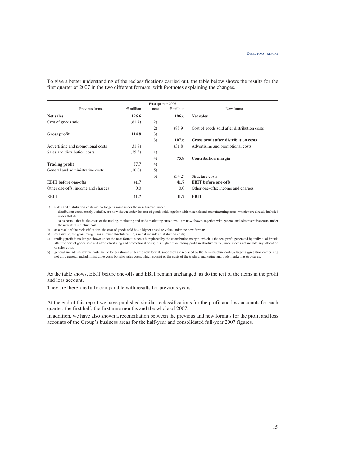To give a better understanding of the reclassifications carried out, the table below shows the results for the first quarter of 2007 in the two different formats, with footnotes explaining the changes.

|                                    |                    | First quarter 2007 |                    |                                             |
|------------------------------------|--------------------|--------------------|--------------------|---------------------------------------------|
| Previous format                    | $\epsilon$ million | note               | $\epsilon$ million | New format                                  |
| <b>Net sales</b>                   | 196.6              |                    | 196.6              | <b>Net sales</b>                            |
| Cost of goods sold                 | (81.7)             | 2)                 |                    |                                             |
|                                    |                    | 2)                 | (88.9)             | Cost of goods sold after distribution costs |
| <b>Gross profit</b>                | 114.8              | 3)                 |                    |                                             |
|                                    |                    | 3)                 | 107.6              | Gross profit after distribution costs       |
| Advertising and promotional costs  | (31.8)             |                    | (31.8)             | Advertising and promotional costs           |
| Sales and distribution costs       | (25.3)             | 1)                 |                    |                                             |
|                                    |                    | 4)                 | 75.8               | <b>Contribution margin</b>                  |
| <b>Trading profit</b>              | 57.7               | 4)                 |                    |                                             |
| General and administrative costs   | (16.0)             | 5)                 |                    |                                             |
|                                    |                    | 5)                 | (34.2)             | Structure costs                             |
| <b>EBIT</b> before one-offs        | 41.7               |                    | 41.7               | <b>EBIT</b> before one-offs                 |
| Other one-offs: income and charges | 0.0                |                    | 0.0                | Other one-offs: income and charges          |
| <b>EBIT</b>                        | 41.7               |                    | 41.7               | <b>EBIT</b>                                 |

1) Sales and distribution costs are no longer shown under the new format, since:

– distribution costs, mostly variable, are now shown under the cost of goods sold, together with materials and manufacturing costs, which were already included under that item;

– sales costs – that is, the costs of the trading, marketing and trade marketing structures – are now shown, together with general and administrative costs, under the new item structure costs;

2) as a result of the reclassification, the cost of goods sold has a higher absolute value under the new format;

3) meanwhile, the gross margin has a lower absolute value, since it includes distribution costs;

4) trading profit is no longer shown under the new format, since it is replaced by the contribution margin, which is the real profit generated by individual brands after the cost of goods sold and after advertising and promotional costs; it is higher than trading profit in absolute value, since it does not include any allocation of sales costs;

5) general and administrative costs are no longer shown under the new format, since they are replaced by the item structure costs, a larger aggregation comprising not only general and administrative costs but also sales costs, which consist of the costs of the trading, marketing and trade marketing structures.

As the table shows, EBIT before one-offs and EBIT remain unchanged, as do the rest of the items in the profit and loss account.

They are therefore fully comparable with results for previous years.

At the end of this report we have published similar reclassifications for the profit and loss accounts for each quarter, the first half, the first nine months and the whole of 2007.

In addition, we have also shown a reconciliation between the previous and new formats for the profit and loss accounts of the Group's business areas for the half-year and consolidated full-year 2007 figures.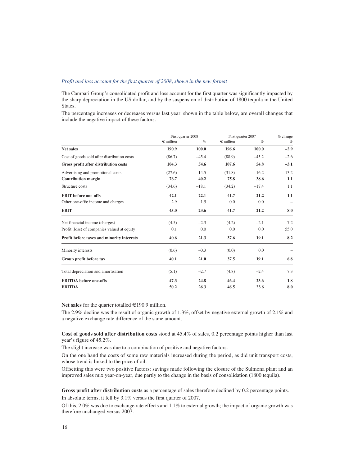# *Profit and loss account for the first quarter of 2008, shown in the new format*

The Campari Group's consolidated profit and loss account for the first quarter was significantly impacted by the sharp depreciation in the US dollar, and by the suspension of distribution of 1800 tequila in the United States.

The percentage increases or decreases versus last year, shown in the table below, are overall changes that include the negative impact of these factors.

|                                             | First quarter 2008 |         | First quarter 2007 |         | $%$ change |
|---------------------------------------------|--------------------|---------|--------------------|---------|------------|
|                                             | $\epsilon$ million | $\%$    | $\in$ million      | $\%$    | $\%$       |
| <b>Net sales</b>                            | 190.9              | 100.0   | 196.6              | 100.0   | $-2.9$     |
| Cost of goods sold after distribution costs | (86.7)             | $-45.4$ | (88.9)             | $-45.2$ | $-2.6$     |
| Gross profit after distribution costs       | 104.3              | 54.6    | 107.6              | 54.8    | $-3.1$     |
| Advertising and promotional costs           | (27.6)             | $-14.5$ | (31.8)             | $-16.2$ | $-13.2$    |
| <b>Contribution margin</b>                  | 76.7               | 40.2    | 75.8               | 38.6    | 1.1        |
| Structure costs                             | (34.6)             | $-18.1$ | (34.2)             | $-17.4$ | 1.1        |
| <b>EBIT</b> before one-offs                 | 42.1               | 22.1    | 41.7               | 21.2    | 1.1        |
| Other one-offs: income and charges          | 2.9                | 1.5     | 0.0                | 0.0     |            |
| <b>EBIT</b>                                 | 45.0               | 23.6    | 41.7               | 21.2    | 8.0        |
| Net financial income (charges)              | (4.5)              | $-2.3$  | (4.2)              | $-2.1$  | 7.2        |
| Profit (loss) of companies valued at equity | 0.1                | 0.0     | 0.0                | 0.0     | 55.0       |
| Profit before taxes and minority interests  | 40.6               | 21.3    | 37.6               | 19.1    | 8.2        |
| Minority interests                          | (0.6)              | $-0.3$  | (0.0)              | 0.0     |            |
| Group profit before tax                     | 40.1               | 21.0    | 37.5               | 19.1    | 6.8        |
| Total depreciation and amortisation         | (5.1)              | $-2.7$  | (4.8)              | $-2.4$  | 7.3        |
| <b>EBITDA</b> before one-offs               | 47.3               | 24.8    | 46.4               | 23.6    | 1.8        |
| <b>EBITDA</b>                               | 50.2               | 26.3    | 46.5               | 23.6    | 8.0        |

Net sales for the quarter totalled  $\in$ 190.9 million.

The 2.9% decline was the result of organic growth of 1.3%, offset by negative external growth of 2.1% and a negative exchange rate difference of the same amount.

**Cost of goods sold after distribution costs** stood at 45.4% of sales, 0.2 percentage points higher than last year's figure of 45.2%.

The slight increase was due to a combination of positive and negative factors.

On the one hand the costs of some raw materials increased during the period, as did unit transport costs, whose trend is linked to the price of oil.

Offsetting this were two positive factors: savings made following the closure of the Sulmona plant and an improved sales mix year-on-year, due partly to the change in the basis of consolidation (1800 tequila).

**Gross profit after distribution costs** as a percentage of sales therefore declined by 0.2 percentage points. In absolute terms, it fell by 3.1% versus the first quarter of 2007.

Of this, 2.0% was due to exchange rate effects and 1.1% to external growth; the impact of organic growth was therefore unchanged versus 2007.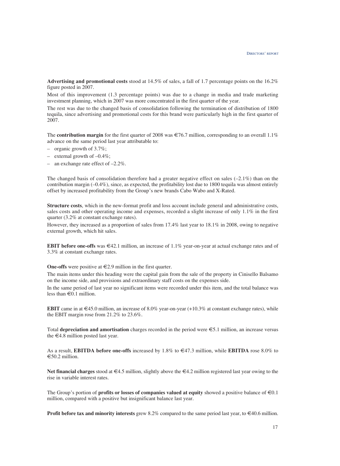**Advertising and promotional costs** stood at 14.5% of sales, a fall of 1.7 percentage points on the 16.2% figure posted in 2007.

Most of this improvement (1.3 percentage points) was due to a change in media and trade marketing investment planning, which in 2007 was more concentrated in the first quarter of the year.

The rest was due to the changed basis of consolidation following the termination of distribution of 1800 tequila, since advertising and promotional costs for this brand were particularly high in the first quarter of 2007.

The **contribution margin** for the first quarter of 2008 was  $\in 76.7$  million, corresponding to an overall 1.1% advance on the same period last year attributable to:

- organic growth of 3.7%;
- external growth of  $-0.4\%$ ;
- an exchange rate effect of –2.2%.

The changed basis of consolidation therefore had a greater negative effect on sales  $(-2.1\%)$  than on the contribution margin  $(-0.4\%)$ , since, as expected, the profitability lost due to 1800 tequila was almost entirely offset by increased profitability from the Group's new brands Cabo Wabo and X-Rated.

**Structure costs**, which in the new-format profit and loss account include general and administrative costs, sales costs and other operating income and expenses, recorded a slight increase of only 1.1% in the first quarter (3.2% at constant exchange rates).

However, they increased as a proportion of sales from 17.4% last year to 18.1% in 2008, owing to negative external growth, which hit sales.

**EBIT before one-offs** was  $\in$ 42.1 million, an increase of 1.1% year-on-year at actual exchange rates and of 3.3% at constant exchange rates.

**One-offs** were positive at €2.9 million in the first quarter.

The main items under this heading were the capital gain from the sale of the property in Cinisello Balsamo on the income side, and provisions and extraordinary staff costs on the expenses side.

In the same period of last year no significant items were recorded under this item, and the total balance was less than  $\in$  0.1 million.

**EBIT** came in at  $\in$ 45.0 million, an increase of 8.0% year-on-year (+10.3% at constant exchange rates), while the EBIT margin rose from 21.2% to 23.6%.

Total **depreciation and amortisation** charges recorded in the period were €5.1 million, an increase versus the  $\epsilon$ 4.8 million posted last year.

As a result, **EBITDA before one-offs** increased by 1.8% to €47.3 million, while **EBITDA** rose 8.0% to  $€50.2$  million.

**Net financial charges** stood at €4.5 million, slightly above the €4.2 million registered last year owing to the rise in variable interest rates.

The Group's portion of **profits or losses of companies valued at equity** showed a positive balance of  $\epsilon 0.1$ million, compared with a positive but insignificant balance last year.

**Profit before tax and minority interests** grew 8.2% compared to the same period last year, to €40.6 million.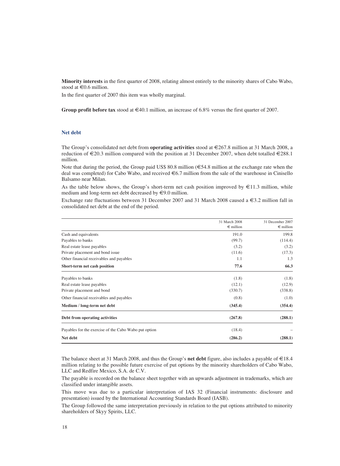**Minority interests** in the first quarter of 2008, relating almost entirely to the minority shares of Cabo Wabo, stood at  $\in$  0.6 million.

In the first quarter of 2007 this item was wholly marginal.

**Group profit before tax** stood at €40.1 million, an increase of 6.8% versus the first quarter of 2007.

#### **Net debt**

The Group's consolidated net debt from **operating activities** stood at €267.8 million at 31 March 2008, a reduction of  $\epsilon$ 20.3 million compared with the position at 31 December 2007, when debt totalled  $\epsilon$ 288.1 million.

Note that during the period, the Group paid US\$ 80.8 million ( $\epsilon$ 54.8 million at the exchange rate when the deal was completed) for Cabo Wabo, and received €6.7 million from the sale of the warehouse in Cinisello Balsamo near Milan.

As the table below shows, the Group's short-term net cash position improved by  $\epsilon$ 11.3 million, while medium and long-term net debt decreased by €9.0 million.

Exchange rate fluctuations between 31 December 2007 and 31 March 2008 caused a  $\epsilon$ 3.2 million fall in consolidated net debt at the end of the period.

|                                                       | 31 March 2008      | 31 December 2007   |
|-------------------------------------------------------|--------------------|--------------------|
|                                                       | $\epsilon$ million | $\epsilon$ million |
| Cash and equivalents                                  | 191.0              | 199.8              |
| Payables to banks                                     | (99.7)             | (114.4)            |
| Real estate lease payables                            | (3.2)              | (3.2)              |
| Private placement and bond issue                      | (11.6)             | (17.3)             |
| Other financial receivables and payables              | 1.1                | 1.3                |
| Short-term net cash position                          | 77.6               | 66.3               |
| Payables to banks                                     | (1.8)              | (1.8)              |
| Real estate lease payables                            | (12.1)             | (12.9)             |
| Private placement and bond                            | (330.7)            | (338.8)            |
| Other financial receivables and payables              | (0.8)              | (1.0)              |
| Medium / long-term net debt                           | (345.4)            | (354.4)            |
| Debt from operating activities                        | (267.8)            | (288.1)            |
| Payables for the exercise of the Cabo Wabo put option | (18.4)             |                    |
| Net debt                                              | (286.2)            | (288.1)            |

The balance sheet at 31 March 2008, and thus the Group's **net debt** figure, also includes a payable of €18.4 million relating to the possible future exercise of put options by the minority shareholders of Cabo Wabo, LLC and Redfire Mexico, S.A. de C.V.

The payable is recorded on the balance sheet together with an upwards adjustment in trademarks, which are classified under intangible assets.

This move was due to a particular interpretation of IAS 32 (Financial instruments: disclosure and presentation) issued by the International Accounting Standards Board (IASB).

The Group followed the same interpretation previously in relation to the put options attributed to minority shareholders of Skyy Spirits, LLC.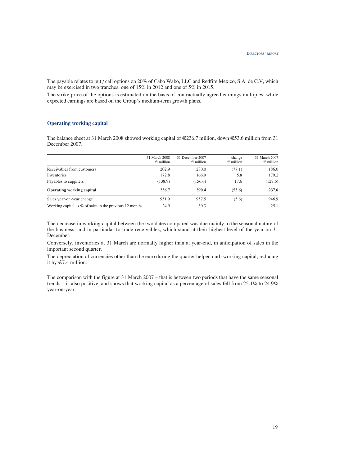The payable relates to put / call options on 20% of Cabo Wabo, LLC and Redfire Mexico, S.A. de C.V, which may be exercised in two tranches, one of 15% in 2012 and one of 5% in 2015.

The strike price of the options is estimated on the basis of contractually agreed earnings multiples, while expected earnings are based on the Group's medium-term growth plans.

# **Operating working capital**

The balance sheet at 31 March 2008 showed working capital of  $\epsilon$ 236.7 million, down  $\epsilon$ 53.6 million from 31 December 2007.

|                                                           | 31 March 2008<br>$\epsilon$ million | 31 December 2007<br>$\epsilon$ million | change<br>$\epsilon$ million | 31 March 2007<br>$\epsilon$ million |
|-----------------------------------------------------------|-------------------------------------|----------------------------------------|------------------------------|-------------------------------------|
| Receivables from customers                                | 202.9                               | 280.0                                  | (77.1)                       | 186.0                               |
| Inventories                                               | 172.8                               | 166.9                                  | 5.8                          | 179.2                               |
| Payables to suppliers                                     | (138.9)                             | (156.6)                                | 17.6                         | (127.6)                             |
| <b>Operating working capital</b>                          | 236.7                               | 290.4                                  | (53.6)                       | 237.6                               |
| Sales year-on-year change                                 | 951.9                               | 957.5                                  | (5.6)                        | 946.9                               |
| Working capital as $%$ of sales in the previous 12 months | 24.9                                | 30.3                                   |                              | 25.1                                |

The decrease in working capital between the two dates compared was due mainly to the seasonal nature of the business, and in particular to trade receivables, which stand at their highest level of the year on 31 December.

Conversely, inventories at 31 March are normally higher than at year-end, in anticipation of sales in the important second quarter.

The depreciation of currencies other than the euro during the quarter helped curb working capital, reducing it by  $\in 7.4$  million.

The comparison with the figure at 31 March 2007 – that is between two periods that have the same seasonal trends – is also positive, and shows that working capital as a percentage of sales fell from 25.1% to 24.9% year-on-year.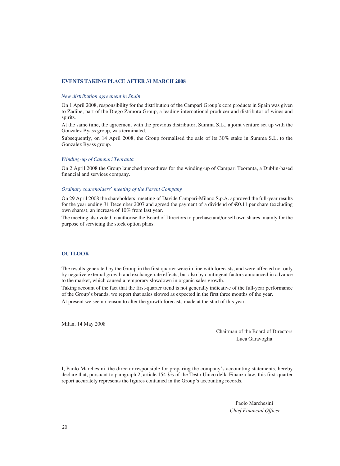# **EVENTS TAKING PLACE AFTER 31 MARCH 2008**

#### *New distribution agreement in Spain*

On 1 April 2008, responsibility for the distribution of the Campari Group's core products in Spain was given to Zadibe, part of the Diego Zamora Group, a leading international producer and distributor of wines and spirits*.*

At the same time, the agreement with the previous distributor, Summa S.L., a joint venture set up with the Gonzalez Byass group, was terminated.

Subsequently, on 14 April 2008, the Group formalised the sale of its 30% stake in Summa S.L. to the Gonzalez Byass group.

#### *Winding-up of Campari Teoranta*

On 2 April 2008 the Group launched procedures for the winding-up of Campari Teoranta, a Dublin-based financial and services company.

#### *Ordinary shareholders' meeting of the Parent Company*

On 29 April 2008 the shareholders' meeting of Davide Campari-Milano S.p.A. approved the full-year results for the year ending 31 December 2007 and agreed the payment of a dividend of  $\epsilon$ 0.11 per share (excluding own shares), an increase of 10% from last year.

The meeting also voted to authorise the Board of Directors to purchase and/or sell own shares, mainly for the purpose of servicing the stock option plans.

#### **OUTLOOK**

The results generated by the Group in the first quarter were in line with forecasts, and were affected not only by negative external growth and exchange rate effects, but also by contingent factors announced in advance to the market, which caused a temporary slowdown in organic sales growth.

Taking account of the fact that the first-quarter trend is not generally indicative of the full-year performance of the Group's brands, we report that sales slowed as expected in the first three months of the year.

At present we see no reason to alter the growth forecasts made at the start of this year.

Milan, 14 May 2008

Chairman of the Board of Directors Luca Garavoglia

I, Paolo Marchesini, the director responsible for preparing the company's accounting statements, hereby declare that, pursuant to paragraph 2, article 154-*bis* of the Testo Unico della Finanza law, this first-quarter report accurately represents the figures contained in the Group's accounting records.

> Paolo Marchesini *Chief Financial Officer*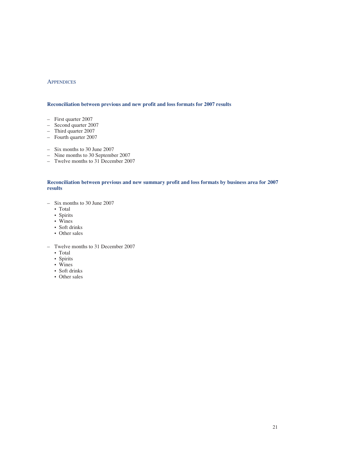# **APPENDICES**

## **Reconciliation between previous and new profit and loss formats for 2007 results**

- First quarter 2007
- Second quarter 2007
- Third quarter 2007
- Fourth quarter 2007
- Six months to 30 June 2007
- Nine months to 30 September 2007
- Twelve months to 31 December 2007

# **Reconciliation between previous and new summary profit and loss formats by business area for 2007 results**

- Six months to 30 June 2007
	- Total
	- Spirits
	- Wines
	- Soft drinks
	- Other sales
- Twelve months to 31 December 2007
	- Total
	- Spirits
	- Wines
	- Soft drinks
	- Other sales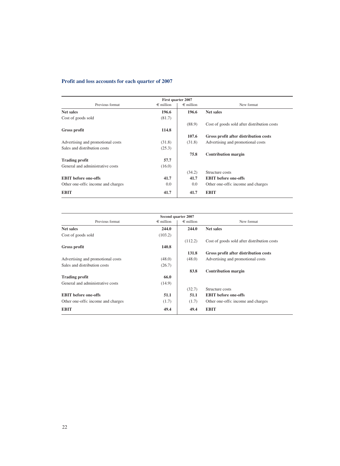# **Profit and loss accounts for each quarter of 2007**

|                                    | First quarter 2007 |                    |                                             |
|------------------------------------|--------------------|--------------------|---------------------------------------------|
| Previous format                    | $\epsilon$ million | $\epsilon$ million | New format                                  |
| <b>Net sales</b>                   | 196.6              | 196.6              | <b>Net sales</b>                            |
| Cost of goods sold                 | (81.7)             |                    |                                             |
|                                    |                    | (88.9)             | Cost of goods sold after distribution costs |
| Gross profit                       | 114.8              |                    |                                             |
|                                    |                    | 107.6              | Gross profit after distribution costs       |
| Advertising and promotional costs  | (31.8)             | (31.8)             | Advertising and promotional costs           |
| Sales and distribution costs       | (25.3)             |                    |                                             |
|                                    |                    | 75.8               | <b>Contribution margin</b>                  |
| <b>Trading profit</b>              | 57.7               |                    |                                             |
| General and administrative costs   | (16.0)             |                    |                                             |
|                                    |                    | (34.2)             | Structure costs                             |
| <b>EBIT</b> before one-offs        | 41.7               | 41.7               | <b>EBIT</b> before one-offs                 |
| Other one-offs: income and charges | 0.0                | 0.0                | Other one-offs: income and charges          |
| <b>EBIT</b>                        | 41.7               | 41.7               | <b>EBIT</b>                                 |

|                                    |                    | Second quarter 2007 |                                             |
|------------------------------------|--------------------|---------------------|---------------------------------------------|
| Previous format                    | $\epsilon$ million | $\epsilon$ million  | New format                                  |
| <b>Net sales</b>                   | 244.0              | 244.0               | <b>Net sales</b>                            |
| Cost of goods sold                 | (103.2)            |                     |                                             |
|                                    |                    | (112.2)             | Cost of goods sold after distribution costs |
| Gross profit                       | 140.8              |                     |                                             |
|                                    |                    | 131.8               | Gross profit after distribution costs       |
| Advertising and promotional costs  | (48.0)             | (48.0)              | Advertising and promotional costs           |
| Sales and distribution costs       | (26.7)             |                     |                                             |
|                                    |                    | 83.8                | <b>Contribution margin</b>                  |
| <b>Trading profit</b>              | 66.0               |                     |                                             |
| General and administrative costs   | (14.9)             |                     |                                             |
|                                    |                    | (32.7)              | Structure costs                             |
| <b>EBIT</b> before one-offs        | 51.1               | 51.1                | <b>EBIT</b> before one-offs                 |
| Other one-offs: income and charges | (1.7)              | (1.7)               | Other one-offs: income and charges          |
| <b>EBIT</b>                        | 49.4               | 49.4                | <b>EBIT</b>                                 |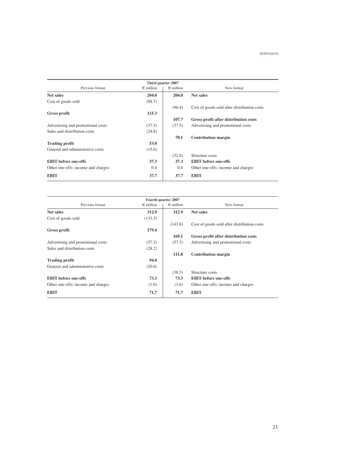|                                    |                    | Third quarter 2007 |                                             |
|------------------------------------|--------------------|--------------------|---------------------------------------------|
| Previous format                    | $\epsilon$ million | $\epsilon$ million | New format                                  |
| <b>Net sales</b>                   | 204.0              | 204.0              | <b>Net sales</b>                            |
| Cost of goods sold                 | (88.7)             |                    |                                             |
|                                    |                    | (96.4)             | Cost of goods sold after distribution costs |
| Gross profit                       | 115.3              |                    |                                             |
|                                    |                    | 107.7              | Gross profit after distribution costs       |
| Advertising and promotional costs  | (37.5)             | (37.5)             | Advertising and promotional costs           |
| Sales and distribution costs       | (24.8)             |                    |                                             |
|                                    |                    | 70.1               | <b>Contribution margin</b>                  |
| <b>Trading profit</b>              | 53.0               |                    |                                             |
| General and administrative costs   | (15.6)             |                    |                                             |
|                                    |                    | (32.8)             | Structure costs                             |
| <b>EBIT</b> before one-offs        | 37.3               | 37.3               | <b>EBIT</b> before one-offs                 |
| Other one-offs: income and charges | 0.4                | 0.4                | Other one-offs: income and charges          |
| <b>EBIT</b>                        | 37.7               | 37.7               | <b>EBIT</b>                                 |

|                                    |                    | Fourth quarter 2007 |                                             |
|------------------------------------|--------------------|---------------------|---------------------------------------------|
| Previous format                    | $\epsilon$ million | $\epsilon$ million  | New format                                  |
| <b>Net sales</b>                   | 312.9              | 312.9               | Net sales                                   |
| Cost of goods sold                 | (133.5)            |                     |                                             |
|                                    |                    | (143.8)             | Cost of goods sold after distribution costs |
| Gross profit                       | 179.4              |                     |                                             |
|                                    |                    | 169.1               | Gross profit after distribution costs       |
| Advertising and promotional costs  | (57.3)             | (57.3)              | Advertising and promotional costs           |
| Sales and distribution costs       | (28.2)             |                     |                                             |
|                                    |                    | 111.8               | <b>Contribution margin</b>                  |
| <b>Trading profit</b>              | 94.0               |                     |                                             |
| General and administrative costs   | (20.6)             |                     |                                             |
|                                    |                    | (38.5)              | Structure costs                             |
| <b>EBIT</b> before one-offs        | 73.3               | 73.3                | <b>EBIT</b> before one-offs                 |
| Other one-offs: income and charges | (1.6)              | (1.6)               | Other one-offs: income and charges          |
| <b>EBIT</b>                        | 71.7               | 71.7                | <b>EBIT</b>                                 |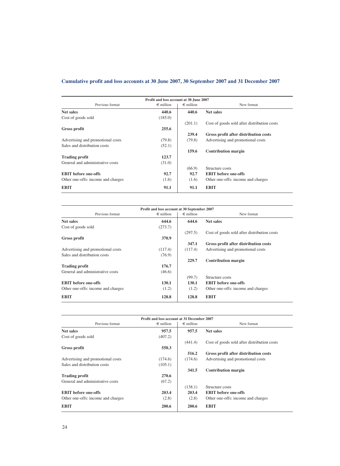# **Cumulative profit and loss accounts at 30 June 2007, 30 September 2007 and 31 December 2007**

| Profit and loss account at 30 June 2007 |                    |                    |                                             |
|-----------------------------------------|--------------------|--------------------|---------------------------------------------|
| Previous format                         | $\epsilon$ million | $\epsilon$ million | New format                                  |
| <b>Net sales</b>                        | 440.6              | 440.6              | <b>Net sales</b>                            |
| Cost of goods sold                      | (185.0)            |                    |                                             |
|                                         |                    | (201.1)            | Cost of goods sold after distribution costs |
| Gross profit                            | 255.6              |                    |                                             |
|                                         |                    | 239.4              | Gross profit after distribution costs       |
| Advertising and promotional costs       | (79.8)             | (79.8)             | Advertising and promotional costs           |
| Sales and distribution costs            | (52.1)             |                    |                                             |
|                                         |                    | 159.6              | <b>Contribution margin</b>                  |
| <b>Trading profit</b>                   | 123.7              |                    |                                             |
| General and administrative costs        | (31.0)             |                    |                                             |
|                                         |                    | (66.9)             | Structure costs                             |
| <b>EBIT</b> before one-offs             | 92.7               | 92.7               | <b>EBIT</b> before one-offs                 |
| Other one-offs: income and charges      | (1.6)              | (1.6)              | Other one-offs: income and charges          |
| <b>EBIT</b>                             | 91.1               | 91.1               | <b>EBIT</b>                                 |

| Profit and loss account at 30 September 2007 |                    |                    |                                             |  |
|----------------------------------------------|--------------------|--------------------|---------------------------------------------|--|
| Previous format                              | $\epsilon$ million | $\epsilon$ million | New format                                  |  |
| <b>Net sales</b>                             | 644.6              | 644.6              | <b>Net sales</b>                            |  |
| Cost of goods sold                           | (273.7)            |                    |                                             |  |
|                                              |                    | (297.5)            | Cost of goods sold after distribution costs |  |
| Gross profit                                 | 370.9              |                    |                                             |  |
|                                              |                    | 347.1              | Gross profit after distribution costs       |  |
| Advertising and promotional costs            | (117.4)            | (117.4)            | Advertising and promotional costs           |  |
| Sales and distribution costs                 | (76.9)             |                    |                                             |  |
|                                              |                    | 229.7              | <b>Contribution margin</b>                  |  |
| <b>Trading profit</b>                        | 176.7              |                    |                                             |  |
| General and administrative costs             | (46.6)             |                    |                                             |  |
|                                              |                    | (99.7)             | Structure costs                             |  |
| <b>EBIT</b> before one-offs                  | 130.1              | 130.1              | <b>EBIT</b> before one-offs                 |  |
| Other one-offs: income and charges           | (1.2)              | (1.2)              | Other one-offs: income and charges          |  |
| <b>EBIT</b>                                  | 128.8              | 128.8              | <b>EBIT</b>                                 |  |

|                                    | Profit and loss account at 31 December 2007 |                    |                                             |
|------------------------------------|---------------------------------------------|--------------------|---------------------------------------------|
| Previous format                    | $\epsilon$ million                          | $\epsilon$ million | New format                                  |
| <b>Net sales</b>                   | 957.5                                       | 957.5              | <b>Net sales</b>                            |
| Cost of goods sold                 | (407.2)                                     |                    |                                             |
|                                    |                                             | (441.4)            | Cost of goods sold after distribution costs |
| Gross profit                       | 550.3                                       |                    |                                             |
|                                    |                                             | 516.2              | Gross profit after distribution costs       |
| Advertising and promotional costs  | (174.6)                                     | (174.6)            | Advertising and promotional costs           |
| Sales and distribution costs       | (105.1)                                     |                    |                                             |
|                                    |                                             | 341.5              | <b>Contribution margin</b>                  |
| <b>Trading profit</b>              | 270.6                                       |                    |                                             |
| General and administrative costs   | (67.2)                                      |                    |                                             |
|                                    |                                             | (138.1)            | Structure costs                             |
| <b>EBIT</b> before one-offs        | 203.4                                       | 203.4              | <b>EBIT</b> before one-offs                 |
| Other one-offs: income and charges | (2.8)                                       | (2.8)              | Other one-offs: income and charges          |
| <b>EBIT</b>                        | 200.6                                       | 200.6              | <b>EBIT</b>                                 |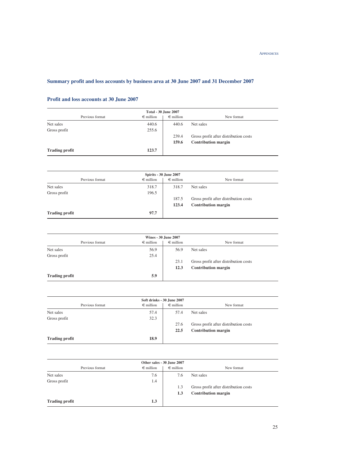# **Summary profit and loss accounts by business area at 30 June 2007 and 31 December 2007**

# **Profit and loss accounts at 30 June 2007**

| <b>Total - 30 June 2007</b> |                    |                    |                                       |  |
|-----------------------------|--------------------|--------------------|---------------------------------------|--|
| Previous format             | $\epsilon$ million | $\epsilon$ million | New format                            |  |
| Net sales                   | 440.6              | 440.6              | Net sales                             |  |
| Gross profit                | 255.6              |                    |                                       |  |
|                             |                    | 239.4              | Gross profit after distribution costs |  |
|                             |                    | 159.6              | <b>Contribution margin</b>            |  |
| <b>Trading profit</b>       | 123.7              |                    |                                       |  |

| Spirits - 30 June 2007 |                    |                    |                                       |  |
|------------------------|--------------------|--------------------|---------------------------------------|--|
| Previous format        | $\epsilon$ million | $\epsilon$ million | New format                            |  |
| Net sales              | 318.7              | 318.7              | Net sales                             |  |
| Gross profit           | 196.5              |                    |                                       |  |
|                        |                    | 187.5              | Gross profit after distribution costs |  |
|                        |                    | 123.4              | <b>Contribution margin</b>            |  |
| <b>Trading profit</b>  | 97.7               |                    |                                       |  |

| <b>Wines - 30 June 2007</b> |                    |                    |                                       |  |
|-----------------------------|--------------------|--------------------|---------------------------------------|--|
| Previous format             | $\epsilon$ million | $\epsilon$ million | New format                            |  |
| Net sales                   | 56.9               | 56.9               | Net sales                             |  |
| Gross profit                | 25.4               |                    |                                       |  |
|                             |                    | 23.1               | Gross profit after distribution costs |  |
|                             |                    | 12.3               | <b>Contribution margin</b>            |  |
| <b>Trading profit</b>       | 5.9                |                    |                                       |  |

| Soft drinks - 30 June 2007 |                    |                    |                                       |  |
|----------------------------|--------------------|--------------------|---------------------------------------|--|
| Previous format            | $\epsilon$ million | $\epsilon$ million | New format                            |  |
| Net sales                  | 57.4               | 57.4               | Net sales                             |  |
| Gross profit               | 32.3               |                    |                                       |  |
|                            |                    | 27.6               | Gross profit after distribution costs |  |
|                            |                    | 22.5               | <b>Contribution margin</b>            |  |
| <b>Trading profit</b>      | 18.9               |                    |                                       |  |

| Other sales - 30 June 2007 |                    |                    |                                       |  |
|----------------------------|--------------------|--------------------|---------------------------------------|--|
| Previous format            | $\epsilon$ million | $\epsilon$ million | New format                            |  |
| Net sales                  | 7.6                | 7.6                | Net sales                             |  |
| Gross profit               | 1.4                |                    |                                       |  |
|                            |                    | 1.3                | Gross profit after distribution costs |  |
|                            |                    | 1.3                | <b>Contribution margin</b>            |  |
| <b>Trading profit</b>      | 1.3                |                    |                                       |  |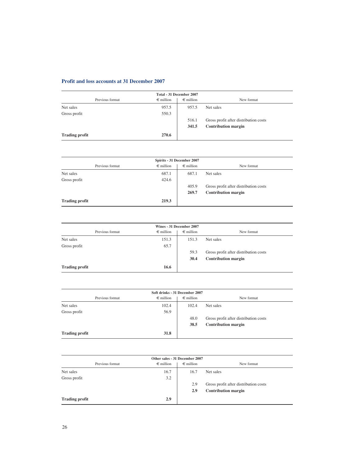# **Profit and loss accounts at 31 December 2007**

|                       | Total - 31 December 2007 |                    |                                       |
|-----------------------|--------------------------|--------------------|---------------------------------------|
| Previous format       | $\epsilon$ million       | $\epsilon$ million | New format                            |
| Net sales             | 957.5                    | 957.5              | Net sales                             |
| Gross profit          | 550.3                    |                    |                                       |
|                       |                          | 516.1              | Gross profit after distribution costs |
|                       |                          | 341.5              | <b>Contribution margin</b>            |
| <b>Trading profit</b> | 270.6                    |                    |                                       |

| Spirits - 31 December 2007 |                    |                    |                                       |  |
|----------------------------|--------------------|--------------------|---------------------------------------|--|
| Previous format            | $\epsilon$ million | $\epsilon$ million | New format                            |  |
| Net sales                  | 687.1              | 687.1              | Net sales                             |  |
| Gross profit               | 424.6              |                    |                                       |  |
|                            |                    | 405.9              | Gross profit after distribution costs |  |
|                            |                    | 269.7              | <b>Contribution margin</b>            |  |
| <b>Trading profit</b>      | 219.3              |                    |                                       |  |

| Wines - 31 December 2007 |                    |                    |                                       |  |
|--------------------------|--------------------|--------------------|---------------------------------------|--|
| Previous format          | $\epsilon$ million | $\epsilon$ million | New format                            |  |
| Net sales                | 151.3              | 151.3              | Net sales                             |  |
| Gross profit             | 65.7               |                    |                                       |  |
|                          |                    | 59.3               | Gross profit after distribution costs |  |
|                          |                    | 30.4               | <b>Contribution margin</b>            |  |
| <b>Trading profit</b>    | 16.6               |                    |                                       |  |

| Soft drinks - 31 December 2007 |                    |                    |                                       |  |
|--------------------------------|--------------------|--------------------|---------------------------------------|--|
| Previous format                | $\epsilon$ million | $\epsilon$ million | New format                            |  |
| Net sales                      | 102.4              | 102.4              | Net sales                             |  |
| Gross profit                   | 56.9               |                    |                                       |  |
|                                |                    | 48.0               | Gross profit after distribution costs |  |
|                                |                    | 38.5               | <b>Contribution margin</b>            |  |
| <b>Trading profit</b>          | 31.8               |                    |                                       |  |

| Other sales - 31 December 2007 |                    |                    |                                       |
|--------------------------------|--------------------|--------------------|---------------------------------------|
| Previous format                | $\epsilon$ million | $\epsilon$ million | New format                            |
| Net sales                      | 16.7               | 16.7               | Net sales                             |
| Gross profit                   | 3.2                |                    |                                       |
|                                |                    | 2.9                | Gross profit after distribution costs |
|                                |                    | 2.9                | <b>Contribution margin</b>            |
| <b>Trading profit</b>          | 2.9                |                    |                                       |